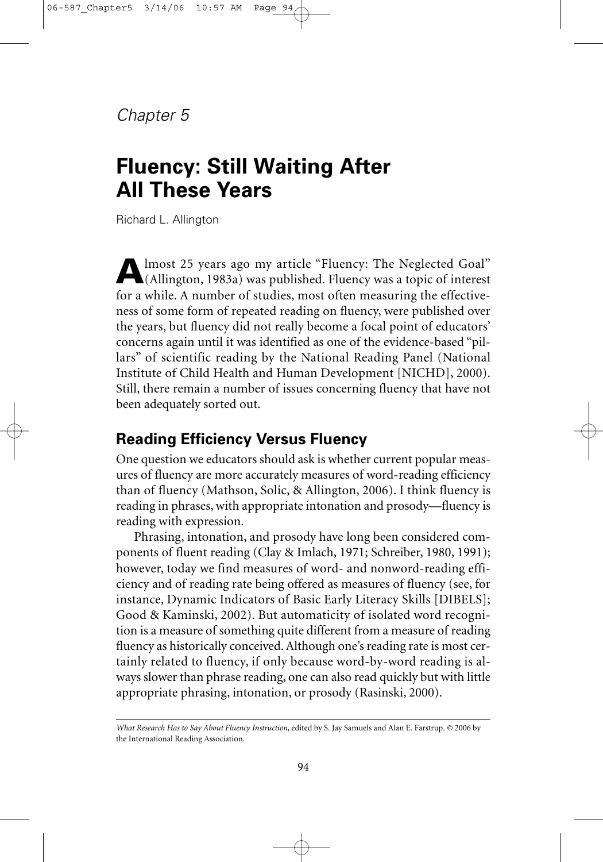### Chapter 5

# **Fluency: Still Waiting After All These Years**

Richard L. Allington

**A**lmost 25 years ago my article "Fluency: The Neglected Goal" (Allington, 1983a) was published. Fluency was a topic of interest for a while. A number of studies, most often measuring the effectiveness of some form of repeated reading on fluency, were published over the years, but fluency did not really become a focal point of educators' concerns again until it was identified as one of the evidence-based "pillars" of scientific reading by the National Reading Panel (National Institute of Child Health and Human Development [NICHD], 2000). Still, there remain a number of issues concerning fluency that have not been adequately sorted out.

#### **Reading Efficiency Versus Fluency**

One question we educators should ask is whether current popular measures of fluency are more accurately measures of word-reading efficiency than of fluency (Mathson, Solic, & Allington, 2006). I think fluency is reading in phrases, with appropriate intonation and prosody—fluency is reading with expression.

Phrasing, intonation, and prosody have long been considered components of fluent reading (Clay & Imlach, 1971; Schreiber, 1980, 1991); however, today we find measures of word- and nonword-reading efficiency and of reading rate being offered as measures of fluency (see, for instance, Dynamic Indicators of Basic Early Literacy Skills [DIBELS]; Good & Kaminski, 2002). But automaticity of isolated word recognition is a measure of something quite different from a measure of reading fluency as historically conceived. Although one's reading rate is most certainly related to fluency, if only because word-by-word reading is always slower than phrase reading, one can also read quickly but with little appropriate phrasing, intonation, or prosody (Rasinski, 2000).

*What Research Has to Say About Fluency Instruction*, edited by S. Jay Samuels and Alan E. Farstrup. © 2006 by the International Reading Association.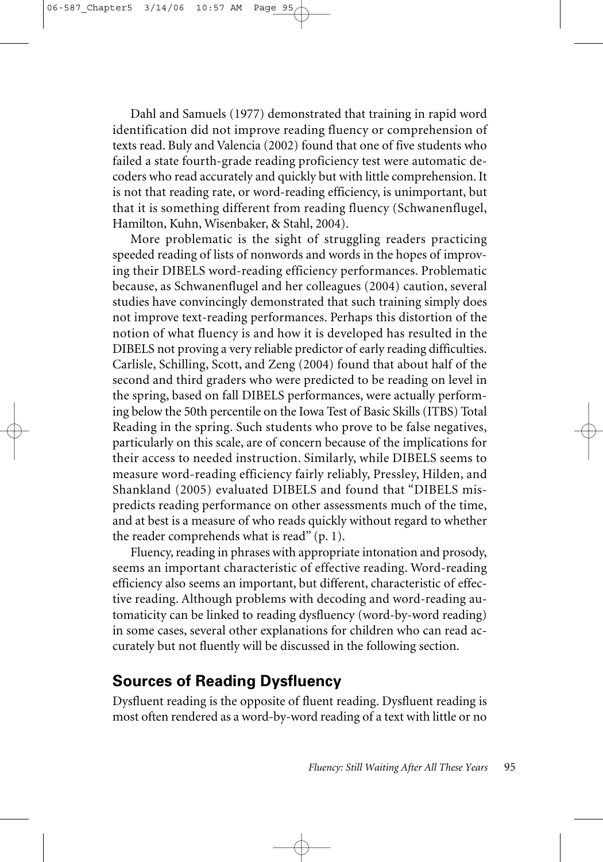Dahl and Samuels (1977) demonstrated that training in rapid word identification did not improve reading fluency or comprehension of texts read. Buly and Valencia (2002) found that one of five students who failed a state fourth-grade reading proficiency test were automatic decoders who read accurately and quickly but with little comprehension. It is not that reading rate, or word-reading efficiency, is unimportant, but that it is something different from reading fluency (Schwanenflugel, Hamilton, Kuhn, Wisenbaker, & Stahl, 2004).

More problematic is the sight of struggling readers practicing speeded reading of lists of nonwords and words in the hopes of improving their DIBELS word-reading efficiency performances. Problematic because, as Schwanenflugel and her colleagues (2004) caution, several studies have convincingly demonstrated that such training simply does not improve text-reading performances. Perhaps this distortion of the notion of what fluency is and how it is developed has resulted in the DIBELS not proving a very reliable predictor of early reading difficulties. Carlisle, Schilling, Scott, and Zeng (2004) found that about half of the second and third graders who were predicted to be reading on level in the spring, based on fall DIBELS performances, were actually performing below the 50th percentile on the Iowa Test of Basic Skills (ITBS) Total Reading in the spring. Such students who prove to be false negatives, particularly on this scale, are of concern because of the implications for their access to needed instruction. Similarly, while DIBELS seems to measure word-reading efficiency fairly reliably, Pressley, Hilden, and Shankland (2005) evaluated DIBELS and found that "DIBELS mispredicts reading performance on other assessments much of the time, and at best is a measure of who reads quickly without regard to whether the reader comprehends what is read" (p. 1).

Fluency, reading in phrases with appropriate intonation and prosody, seems an important characteristic of effective reading. Word-reading efficiency also seems an important, but different, characteristic of effective reading. Although problems with decoding and word-reading automaticity can be linked to reading dysfluency (word-by-word reading) in some cases, several other explanations for children who can read accurately but not fluently will be discussed in the following section.

#### **Sources of Reading Dysfluency**

Dysfluent reading is the opposite of fluent reading. Dysfluent reading is most often rendered as a word-by-word reading of a text with little or no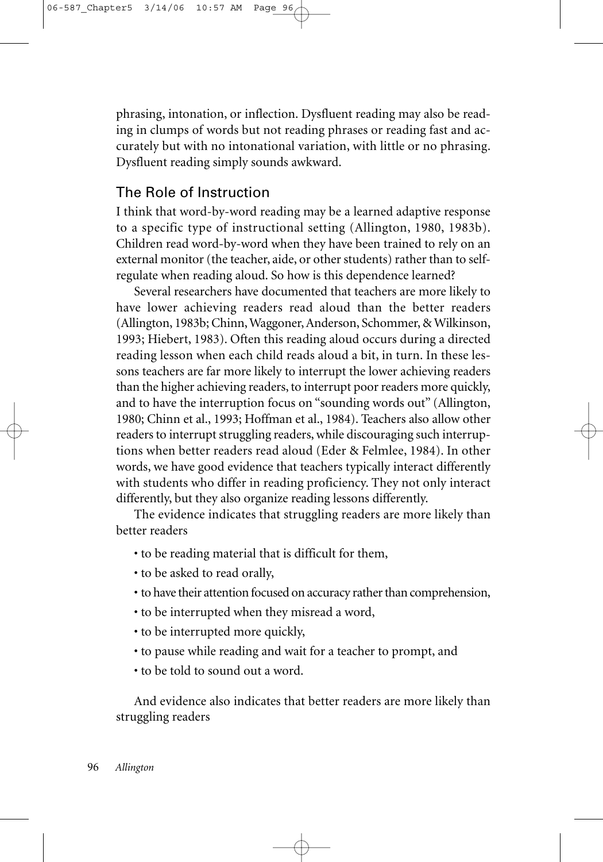phrasing, intonation, or inflection. Dysfluent reading may also be reading in clumps of words but not reading phrases or reading fast and accurately but with no intonational variation, with little or no phrasing. Dysfluent reading simply sounds awkward.

#### The Role of Instruction

I think that word-by-word reading may be a learned adaptive response to a specific type of instructional setting (Allington, 1980, 1983b). Children read word-by-word when they have been trained to rely on an external monitor (the teacher, aide, or other students) rather than to selfregulate when reading aloud. So how is this dependence learned?

Several researchers have documented that teachers are more likely to have lower achieving readers read aloud than the better readers (Allington, 1983b; Chinn, Waggoner, Anderson, Schommer, & Wilkinson, 1993; Hiebert, 1983). Often this reading aloud occurs during a directed reading lesson when each child reads aloud a bit, in turn. In these lessons teachers are far more likely to interrupt the lower achieving readers than the higher achieving readers, to interrupt poor readers more quickly, and to have the interruption focus on "sounding words out" (Allington, 1980; Chinn et al., 1993; Hoffman et al., 1984). Teachers also allow other readers to interrupt struggling readers, while discouraging such interruptions when better readers read aloud (Eder & Felmlee, 1984). In other words, we have good evidence that teachers typically interact differently with students who differ in reading proficiency. They not only interact differently, but they also organize reading lessons differently.

The evidence indicates that struggling readers are more likely than better readers

- to be reading material that is difficult for them,
- to be asked to read orally,
- to have their attention focused on accuracy rather than comprehension,
- to be interrupted when they misread a word,
- to be interrupted more quickly,
- to pause while reading and wait for a teacher to prompt, and
- to be told to sound out a word.

And evidence also indicates that better readers are more likely than struggling readers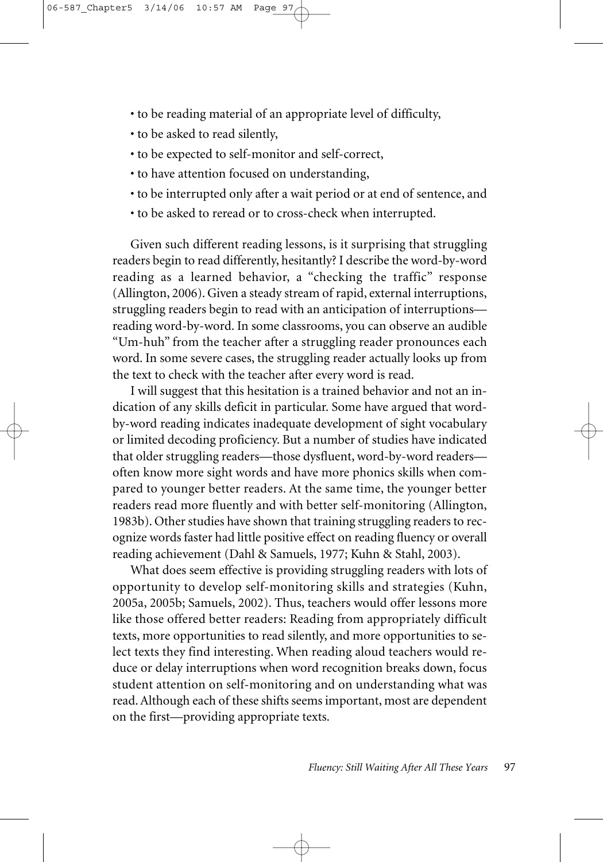- to be reading material of an appropriate level of difficulty,
- to be asked to read silently,
- to be expected to self-monitor and self-correct,
- to have attention focused on understanding,
- to be interrupted only after a wait period or at end of sentence, and
- to be asked to reread or to cross-check when interrupted.

Given such different reading lessons, is it surprising that struggling readers begin to read differently, hesitantly? I describe the word-by-word reading as a learned behavior, a "checking the traffic" response (Allington, 2006). Given a steady stream of rapid, external interruptions, struggling readers begin to read with an anticipation of interruptions reading word-by-word. In some classrooms, you can observe an audible "Um-huh" from the teacher after a struggling reader pronounces each word. In some severe cases, the struggling reader actually looks up from the text to check with the teacher after every word is read.

I will suggest that this hesitation is a trained behavior and not an indication of any skills deficit in particular. Some have argued that wordby-word reading indicates inadequate development of sight vocabulary or limited decoding proficiency. But a number of studies have indicated that older struggling readers—those dysfluent, word-by-word readers often know more sight words and have more phonics skills when compared to younger better readers. At the same time, the younger better readers read more fluently and with better self-monitoring (Allington, 1983b). Other studies have shown that training struggling readers to recognize words faster had little positive effect on reading fluency or overall reading achievement (Dahl & Samuels, 1977; Kuhn & Stahl, 2003).

What does seem effective is providing struggling readers with lots of opportunity to develop self-monitoring skills and strategies (Kuhn, 2005a, 2005b; Samuels, 2002). Thus, teachers would offer lessons more like those offered better readers: Reading from appropriately difficult texts, more opportunities to read silently, and more opportunities to select texts they find interesting. When reading aloud teachers would reduce or delay interruptions when word recognition breaks down, focus student attention on self-monitoring and on understanding what was read. Although each of these shifts seems important, most are dependent on the first—providing appropriate texts.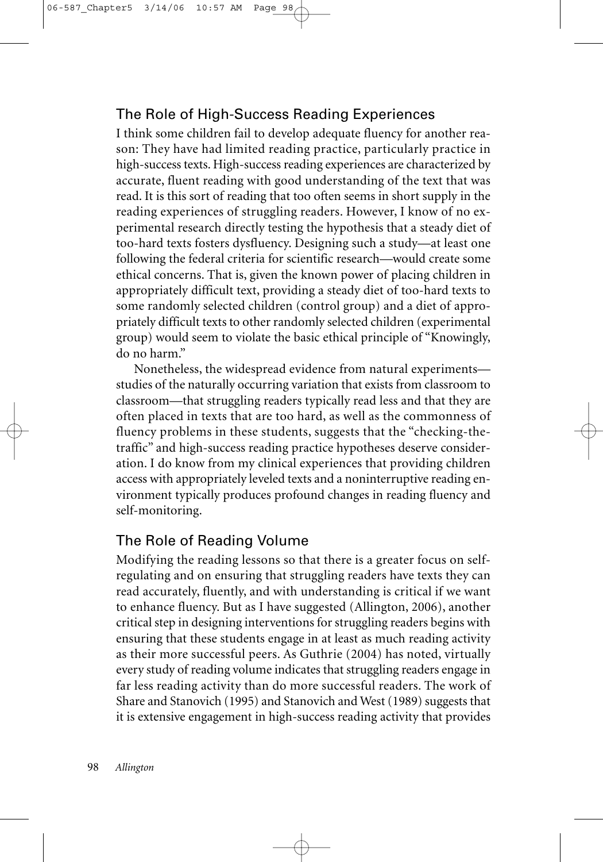#### The Role of High-Success Reading Experiences

I think some children fail to develop adequate fluency for another reason: They have had limited reading practice, particularly practice in high-success texts. High-success reading experiences are characterized by accurate, fluent reading with good understanding of the text that was read. It is this sort of reading that too often seems in short supply in the reading experiences of struggling readers. However, I know of no experimental research directly testing the hypothesis that a steady diet of too-hard texts fosters dysfluency. Designing such a study—at least one following the federal criteria for scientific research—would create some ethical concerns. That is, given the known power of placing children in appropriately difficult text, providing a steady diet of too-hard texts to some randomly selected children (control group) and a diet of appropriately difficult texts to other randomly selected children (experimental group) would seem to violate the basic ethical principle of "Knowingly, do no harm."

Nonetheless, the widespread evidence from natural experiments studies of the naturally occurring variation that exists from classroom to classroom—that struggling readers typically read less and that they are often placed in texts that are too hard, as well as the commonness of fluency problems in these students, suggests that the "checking-thetraffic" and high-success reading practice hypotheses deserve consideration. I do know from my clinical experiences that providing children access with appropriately leveled texts and a noninterruptive reading environment typically produces profound changes in reading fluency and self-monitoring.

#### The Role of Reading Volume

Modifying the reading lessons so that there is a greater focus on selfregulating and on ensuring that struggling readers have texts they can read accurately, fluently, and with understanding is critical if we want to enhance fluency. But as I have suggested (Allington, 2006), another critical step in designing interventions for struggling readers begins with ensuring that these students engage in at least as much reading activity as their more successful peers. As Guthrie (2004) has noted, virtually every study of reading volume indicates that struggling readers engage in far less reading activity than do more successful readers. The work of Share and Stanovich (1995) and Stanovich and West (1989) suggests that it is extensive engagement in high-success reading activity that provides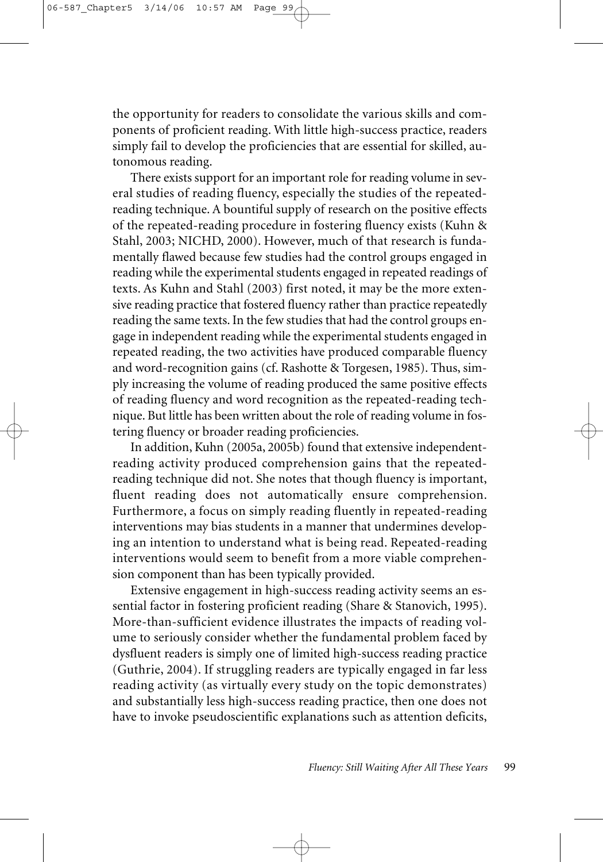the opportunity for readers to consolidate the various skills and components of proficient reading. With little high-success practice, readers simply fail to develop the proficiencies that are essential for skilled, autonomous reading.

There exists support for an important role for reading volume in several studies of reading fluency, especially the studies of the repeatedreading technique. A bountiful supply of research on the positive effects of the repeated-reading procedure in fostering fluency exists (Kuhn & Stahl, 2003; NICHD, 2000). However, much of that research is fundamentally flawed because few studies had the control groups engaged in reading while the experimental students engaged in repeated readings of texts. As Kuhn and Stahl (2003) first noted, it may be the more extensive reading practice that fostered fluency rather than practice repeatedly reading the same texts. In the few studies that had the control groups engage in independent reading while the experimental students engaged in repeated reading, the two activities have produced comparable fluency and word-recognition gains (cf. Rashotte & Torgesen, 1985). Thus, simply increasing the volume of reading produced the same positive effects of reading fluency and word recognition as the repeated-reading technique. But little has been written about the role of reading volume in fostering fluency or broader reading proficiencies.

In addition, Kuhn (2005a, 2005b) found that extensive independentreading activity produced comprehension gains that the repeatedreading technique did not. She notes that though fluency is important, fluent reading does not automatically ensure comprehension. Furthermore, a focus on simply reading fluently in repeated-reading interventions may bias students in a manner that undermines developing an intention to understand what is being read. Repeated-reading interventions would seem to benefit from a more viable comprehension component than has been typically provided.

Extensive engagement in high-success reading activity seems an essential factor in fostering proficient reading (Share & Stanovich, 1995). More-than-sufficient evidence illustrates the impacts of reading volume to seriously consider whether the fundamental problem faced by dysfluent readers is simply one of limited high-success reading practice (Guthrie, 2004). If struggling readers are typically engaged in far less reading activity (as virtually every study on the topic demonstrates) and substantially less high-success reading practice, then one does not have to invoke pseudoscientific explanations such as attention deficits,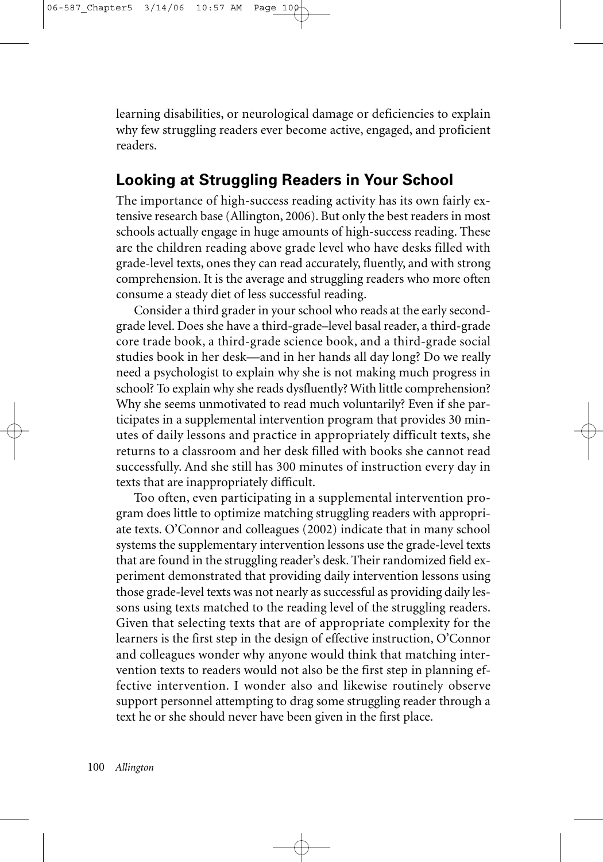learning disabilities, or neurological damage or deficiencies to explain why few struggling readers ever become active, engaged, and proficient readers.

## **Looking at Struggling Readers in Your School**

The importance of high-success reading activity has its own fairly extensive research base (Allington, 2006). But only the best readers in most schools actually engage in huge amounts of high-success reading. These are the children reading above grade level who have desks filled with grade-level texts, ones they can read accurately, fluently, and with strong comprehension. It is the average and struggling readers who more often consume a steady diet of less successful reading.

Consider a third grader in your school who reads at the early secondgrade level. Does she have a third-grade–level basal reader, a third-grade core trade book, a third-grade science book, and a third-grade social studies book in her desk—and in her hands all day long? Do we really need a psychologist to explain why she is not making much progress in school? To explain why she reads dysfluently? With little comprehension? Why she seems unmotivated to read much voluntarily? Even if she participates in a supplemental intervention program that provides 30 minutes of daily lessons and practice in appropriately difficult texts, she returns to a classroom and her desk filled with books she cannot read successfully. And she still has 300 minutes of instruction every day in texts that are inappropriately difficult.

Too often, even participating in a supplemental intervention program does little to optimize matching struggling readers with appropriate texts. O'Connor and colleagues (2002) indicate that in many school systems the supplementary intervention lessons use the grade-level texts that are found in the struggling reader's desk. Their randomized field experiment demonstrated that providing daily intervention lessons using those grade-level texts was not nearly as successful as providing daily lessons using texts matched to the reading level of the struggling readers. Given that selecting texts that are of appropriate complexity for the learners is the first step in the design of effective instruction, O'Connor and colleagues wonder why anyone would think that matching intervention texts to readers would not also be the first step in planning effective intervention. I wonder also and likewise routinely observe support personnel attempting to drag some struggling reader through a text he or she should never have been given in the first place.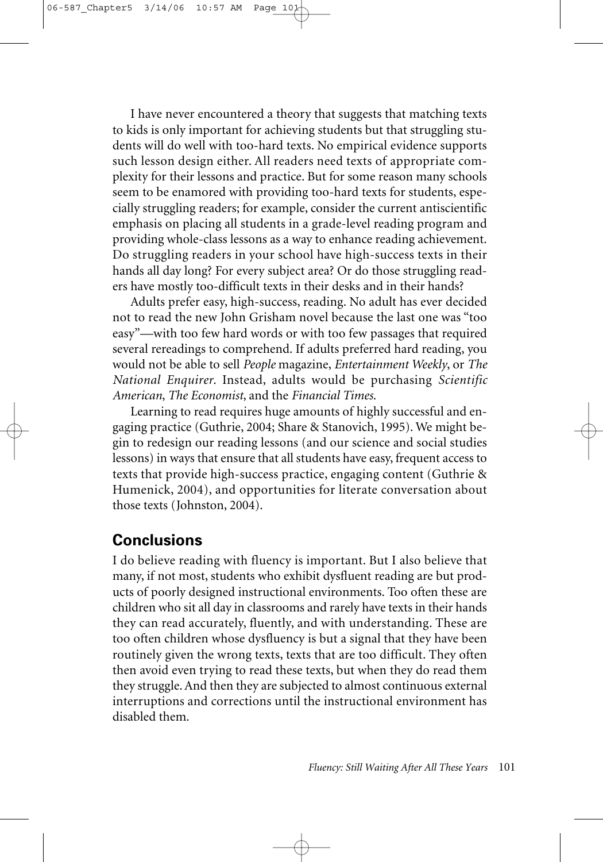I have never encountered a theory that suggests that matching texts to kids is only important for achieving students but that struggling students will do well with too-hard texts. No empirical evidence supports such lesson design either. All readers need texts of appropriate complexity for their lessons and practice. But for some reason many schools seem to be enamored with providing too-hard texts for students, especially struggling readers; for example, consider the current antiscientific emphasis on placing all students in a grade-level reading program and providing whole-class lessons as a way to enhance reading achievement. Do struggling readers in your school have high-success texts in their hands all day long? For every subject area? Or do those struggling readers have mostly too-difficult texts in their desks and in their hands?

Adults prefer easy, high-success, reading. No adult has ever decided not to read the new John Grisham novel because the last one was "too easy"—with too few hard words or with too few passages that required several rereadings to comprehend. If adults preferred hard reading, you would not be able to sell *People* magazine, *Entertainment Weekly*, or *The National Enquirer*. Instead, adults would be purchasing *Scientific American*, *The Economist*, and the *Financial Times*.

Learning to read requires huge amounts of highly successful and engaging practice (Guthrie, 2004; Share & Stanovich, 1995). We might begin to redesign our reading lessons (and our science and social studies lessons) in ways that ensure that all students have easy, frequent access to texts that provide high-success practice, engaging content (Guthrie & Humenick, 2004), and opportunities for literate conversation about those texts (Johnston, 2004).

#### **Conclusions**

I do believe reading with fluency is important. But I also believe that many, if not most, students who exhibit dysfluent reading are but products of poorly designed instructional environments. Too often these are children who sit all day in classrooms and rarely have texts in their hands they can read accurately, fluently, and with understanding. These are too often children whose dysfluency is but a signal that they have been routinely given the wrong texts, texts that are too difficult. They often then avoid even trying to read these texts, but when they do read them they struggle. And then they are subjected to almost continuous external interruptions and corrections until the instructional environment has disabled them.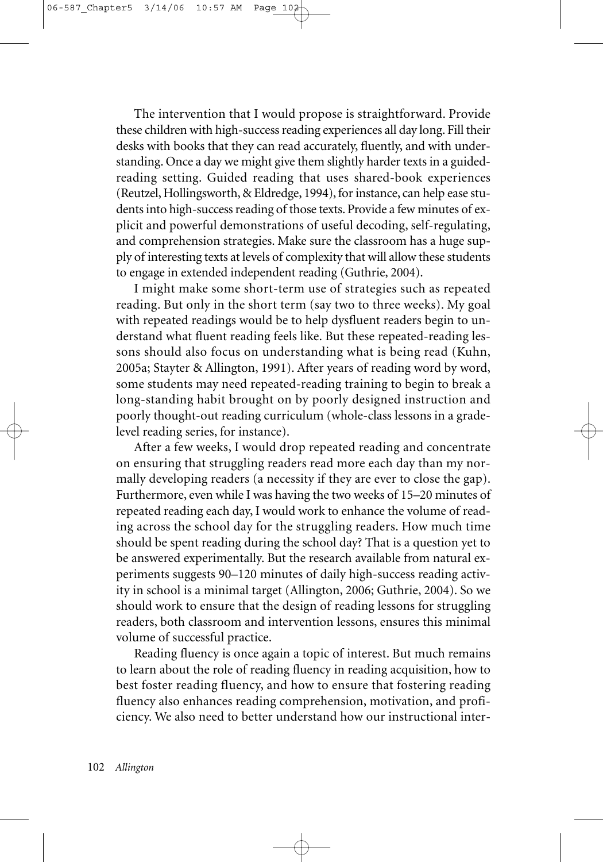The intervention that I would propose is straightforward. Provide these children with high-success reading experiences all day long. Fill their desks with books that they can read accurately, fluently, and with understanding. Once a day we might give them slightly harder texts in a guidedreading setting. Guided reading that uses shared-book experiences (Reutzel, Hollingsworth, & Eldredge, 1994), for instance, can help ease students into high-success reading of those texts. Provide a few minutes of explicit and powerful demonstrations of useful decoding, self-regulating, and comprehension strategies. Make sure the classroom has a huge supply of interesting texts at levels of complexity that will allow these students to engage in extended independent reading (Guthrie, 2004).

I might make some short-term use of strategies such as repeated reading. But only in the short term (say two to three weeks). My goal with repeated readings would be to help dysfluent readers begin to understand what fluent reading feels like. But these repeated-reading lessons should also focus on understanding what is being read (Kuhn, 2005a; Stayter & Allington, 1991). After years of reading word by word, some students may need repeated-reading training to begin to break a long-standing habit brought on by poorly designed instruction and poorly thought-out reading curriculum (whole-class lessons in a gradelevel reading series, for instance).

After a few weeks, I would drop repeated reading and concentrate on ensuring that struggling readers read more each day than my normally developing readers (a necessity if they are ever to close the gap). Furthermore, even while I was having the two weeks of 15–20 minutes of repeated reading each day, I would work to enhance the volume of reading across the school day for the struggling readers. How much time should be spent reading during the school day? That is a question yet to be answered experimentally. But the research available from natural experiments suggests 90–120 minutes of daily high-success reading activity in school is a minimal target (Allington, 2006; Guthrie, 2004). So we should work to ensure that the design of reading lessons for struggling readers, both classroom and intervention lessons, ensures this minimal volume of successful practice.

Reading fluency is once again a topic of interest. But much remains to learn about the role of reading fluency in reading acquisition, how to best foster reading fluency, and how to ensure that fostering reading fluency also enhances reading comprehension, motivation, and proficiency. We also need to better understand how our instructional inter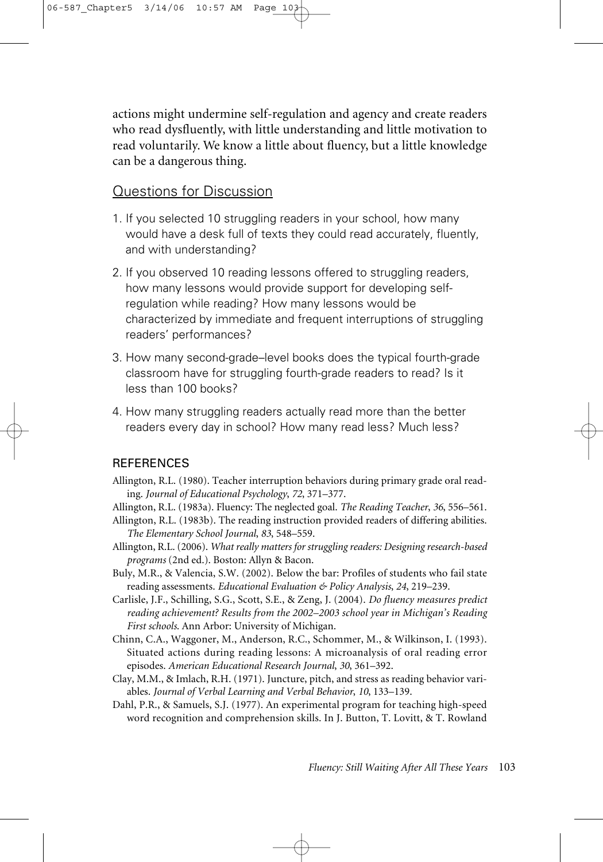actions might undermine self-regulation and agency and create readers who read dysfluently, with little understanding and little motivation to read voluntarily. We know a little about fluency, but a little knowledge can be a dangerous thing.

#### Questions for Discussion

- 1. If you selected 10 struggling readers in your school, how many would have a desk full of texts they could read accurately, fluently, and with understanding?
- 2. If you observed 10 reading lessons offered to struggling readers, how many lessons would provide support for developing selfregulation while reading? How many lessons would be characterized by immediate and frequent interruptions of struggling readers' performances?
- 3. How many second-grade–level books does the typical fourth-grade classroom have for struggling fourth-grade readers to read? Is it less than 100 books?
- 4. How many struggling readers actually read more than the better readers every day in school? How many read less? Much less?

#### **REFERENCES**

- Allington, R.L. (1980). Teacher interruption behaviors during primary grade oral reading. *Journal of Educational Psychology*, *72*, 371–377.
- Allington, R.L. (1983a). Fluency: The neglected goal. *The Reading Teacher*, *36*, 556–561.
- Allington, R.L. (1983b). The reading instruction provided readers of differing abilities. *The Elementary School Journal*, *83*, 548–559.
- Allington, R.L. (2006). *What really matters for struggling readers: Designing research-based programs* (2nd ed.). Boston: Allyn & Bacon.
- Buly, M.R., & Valencia, S.W. (2002). Below the bar: Profiles of students who fail state reading assessments. *Educational Evaluation & Policy Analysis*, *24*, 219–239.
- Carlisle, J.F., Schilling, S.G., Scott, S.E., & Zeng, J. (2004). *Do fluency measures predict reading achievement? Results from the 2002–2003 school year in Michigan's Reading First schools*. Ann Arbor: University of Michigan.
- Chinn, C.A., Waggoner, M., Anderson, R.C., Schommer, M., & Wilkinson, I. (1993). Situated actions during reading lessons: A microanalysis of oral reading error episodes. *American Educational Research Journal*, *30*, 361–392.
- Clay, M.M., & Imlach, R.H. (1971). Juncture, pitch, and stress as reading behavior variables. *Journal of Verbal Learning and Verbal Behavior*, *10*, 133–139.
- Dahl, P.R., & Samuels, S.J. (1977). An experimental program for teaching high-speed word recognition and comprehension skills. In J. Button, T. Lovitt, & T. Rowland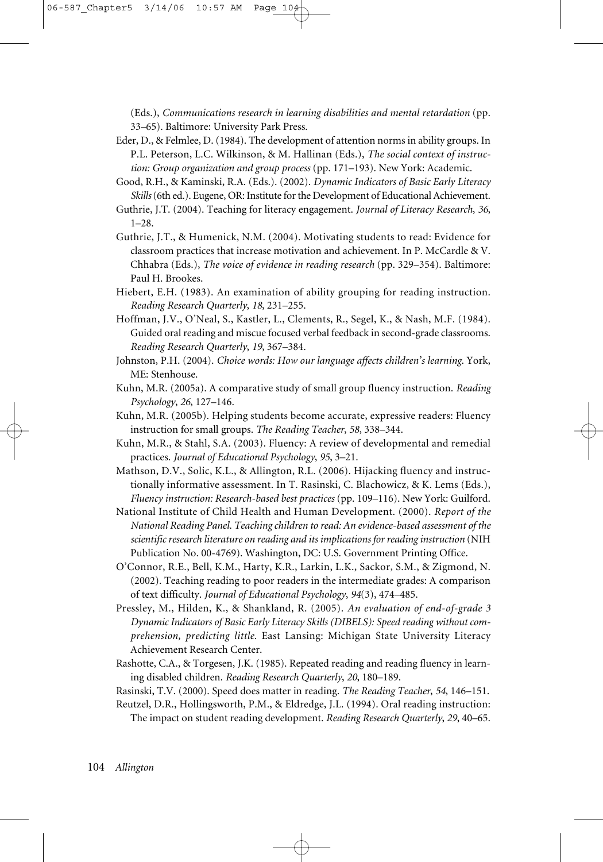(Eds.), *Communications research in learning disabilities and mental retardation* (pp. 33–65). Baltimore: University Park Press.

- Eder, D., & Felmlee, D. (1984). The development of attention norms in ability groups. In P.L. Peterson, L.C. Wilkinson, & M. Hallinan (Eds.), *The social context of instruction: Group organization and group process* (pp. 171–193). New York: Academic.
- Good, R.H., & Kaminski, R.A. (Eds.). (2002). *Dynamic Indicators of Basic Early Literacy Skills*(6th ed.). Eugene, OR: Institute for the Development of Educational Achievement.
- Guthrie, J.T. (2004). Teaching for literacy engagement. *Journal of Literacy Research*, *36*, 1–28.
- Guthrie, J.T., & Humenick, N.M. (2004). Motivating students to read: Evidence for classroom practices that increase motivation and achievement. In P. McCardle & V. Chhabra (Eds.), *The voice of evidence in reading research* (pp. 329–354). Baltimore: Paul H. Brookes.
- Hiebert, E.H. (1983). An examination of ability grouping for reading instruction. *Reading Research Quarterly*, *18*, 231–255.
- Hoffman, J.V., O'Neal, S., Kastler, L., Clements, R., Segel, K., & Nash, M.F. (1984). Guided oral reading and miscue focused verbal feedback in second-grade classrooms. *Reading Research Quarterly*, *19*, 367–384.
- Johnston, P.H. (2004). *Choice words: How our language affects children's learning*. York, ME: Stenhouse.
- Kuhn, M.R. (2005a). A comparative study of small group fluency instruction. *Reading Psychology*, *26*, 127–146.
- Kuhn, M.R. (2005b). Helping students become accurate, expressive readers: Fluency instruction for small groups. *The Reading Teacher*, *58*, 338–344.
- Kuhn, M.R., & Stahl, S.A. (2003). Fluency: A review of developmental and remedial practices. *Journal of Educational Psychology*, *95*, 3–21.
- Mathson, D.V., Solic, K.L., & Allington, R.L. (2006). Hijacking fluency and instructionally informative assessment. In T. Rasinski, C. Blachowicz, & K. Lems (Eds.), *Fluency instruction: Research-based best practices* (pp. 109–116). New York: Guilford.
- National Institute of Child Health and Human Development. (2000). *Report of the National Reading Panel. Teaching children to read: An evidence-based assessment of the scientific research literature on reading and its implications for reading instruction* (NIH Publication No. 00-4769). Washington, DC: U.S. Government Printing Office.
- O'Connor, R.E., Bell, K.M., Harty, K.R., Larkin, L.K., Sackor, S.M., & Zigmond, N. (2002). Teaching reading to poor readers in the intermediate grades: A comparison of text difficulty. *Journal of Educational Psychology*, *94*(3), 474–485.
- Pressley, M., Hilden, K., & Shankland, R. (2005). *An evaluation of end-of-grade 3 Dynamic Indicators of Basic Early Literacy Skills (DIBELS): Speed reading without comprehension, predicting little*. East Lansing: Michigan State University Literacy Achievement Research Center.
- Rashotte, C.A., & Torgesen, J.K. (1985). Repeated reading and reading fluency in learning disabled children. *Reading Research Quarterly*, *20*, 180–189.
- Rasinski, T.V. (2000). Speed does matter in reading. *The Reading Teacher*, *54*, 146–151.
- Reutzel, D.R., Hollingsworth, P.M., & Eldredge, J.L. (1994). Oral reading instruction: The impact on student reading development. *Reading Research Quarterly*, *29*, 40–65.